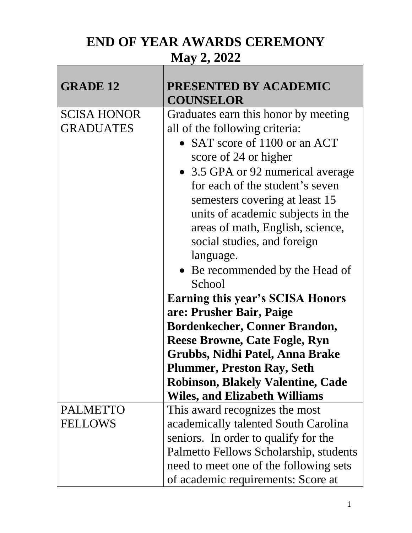## **END OF YEAR AWARDS CEREMONY**

## **May 2, 2022**

| <b>GRADE 12</b>    | <b>PRESENTED BY ACADEMIC</b>                                                 |
|--------------------|------------------------------------------------------------------------------|
| <b>SCISA HONOR</b> | <b>COUNSELOR</b><br>Graduates earn this honor by meeting                     |
| <b>GRADUATES</b>   | all of the following criteria:                                               |
|                    | • SAT score of 1100 or an ACT                                                |
|                    | score of 24 or higher                                                        |
|                    | • 3.5 GPA or 92 numerical average                                            |
|                    | for each of the student's seven                                              |
|                    | semesters covering at least 15                                               |
|                    | units of academic subjects in the                                            |
|                    | areas of math, English, science,                                             |
|                    | social studies, and foreign                                                  |
|                    | language.                                                                    |
|                    | • Be recommended by the Head of                                              |
|                    | School                                                                       |
|                    | <b>Earning this year's SCISA Honors</b>                                      |
|                    | are: Prusher Bair, Paige                                                     |
|                    | <b>Bordenkecher, Conner Brandon,</b><br><b>Reese Browne, Cate Fogle, Ryn</b> |
|                    | Grubbs, Nidhi Patel, Anna Brake                                              |
|                    | <b>Plummer, Preston Ray, Seth</b>                                            |
|                    | <b>Robinson, Blakely Valentine, Cade</b>                                     |
|                    | <b>Wiles, and Elizabeth Williams</b>                                         |
| <b>PALMETTO</b>    | This award recognizes the most                                               |
| <b>FELLOWS</b>     | academically talented South Carolina                                         |
|                    | seniors. In order to qualify for the                                         |
|                    | Palmetto Fellows Scholarship, students                                       |
|                    | need to meet one of the following sets                                       |
|                    | of academic requirements: Score at                                           |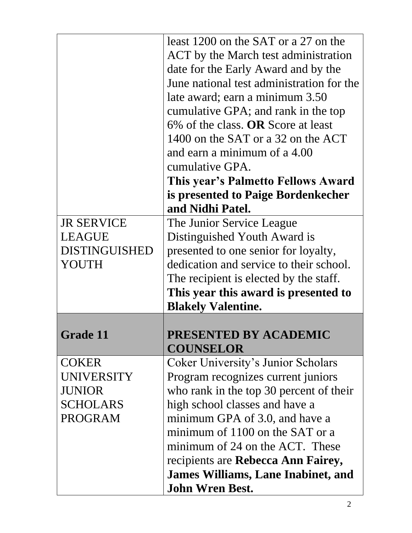|                      | least 1200 on the SAT or a 27 on the      |
|----------------------|-------------------------------------------|
|                      | ACT by the March test administration      |
|                      | date for the Early Award and by the       |
|                      | June national test administration for the |
|                      | late award; earn a minimum 3.50           |
|                      | cumulative GPA; and rank in the top       |
|                      | 6% of the class. OR Score at least        |
|                      | 1400 on the SAT or a 32 on the ACT        |
|                      | and earn a minimum of a 4.00              |
|                      | cumulative GPA.                           |
|                      | This year's Palmetto Fellows Award        |
|                      | is presented to Paige Bordenkecher        |
|                      | and Nidhi Patel.                          |
| <b>JR SERVICE</b>    | The Junior Service League                 |
| <b>LEAGUE</b>        | Distinguished Youth Award is              |
| <b>DISTINGUISHED</b> | presented to one senior for loyalty,      |
| YOUTH                | dedication and service to their school.   |
|                      | The recipient is elected by the staff.    |
|                      | This year this award is presented to      |
|                      | <b>Blakely Valentine.</b>                 |
|                      |                                           |
| <b>Grade 11</b>      | PRESENTED BY ACADEMIC                     |
|                      | <b>COUNSELOR</b>                          |
| <b>COKER</b>         | <b>Coker University's Junior Scholars</b> |
| <b>UNIVERSITY</b>    | Program recognizes current juniors        |
| <b>JUNIOR</b>        | who rank in the top 30 percent of their   |
| <b>SCHOLARS</b>      | high school classes and have a            |
| <b>PROGRAM</b>       | minimum GPA of 3.0, and have a            |
|                      | minimum of 1100 on the SAT or a           |
|                      | minimum of 24 on the ACT. These           |
|                      | recipients are Rebecca Ann Fairey,        |
|                      | James Williams, Lane Inabinet, and        |
|                      | <b>John Wren Best.</b>                    |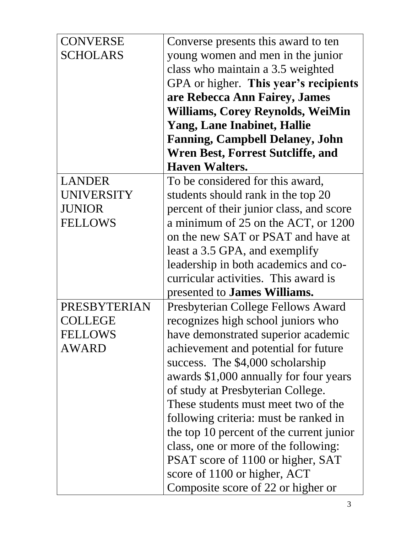| <b>CONVERSE</b>     | Converse presents this award to ten      |
|---------------------|------------------------------------------|
| <b>SCHOLARS</b>     | young women and men in the junior        |
|                     | class who maintain a 3.5 weighted        |
|                     | GPA or higher. This year's recipients    |
|                     | are Rebecca Ann Fairey, James            |
|                     | <b>Williams, Corey Reynolds, WeiMin</b>  |
|                     | <b>Yang, Lane Inabinet, Hallie</b>       |
|                     | <b>Fanning, Campbell Delaney, John</b>   |
|                     | <b>Wren Best, Forrest Sutcliffe, and</b> |
|                     | <b>Haven Walters.</b>                    |
| <b>LANDER</b>       | To be considered for this award,         |
| <b>UNIVERSITY</b>   | students should rank in the top 20       |
| <b>JUNIOR</b>       | percent of their junior class, and score |
| <b>FELLOWS</b>      | a minimum of 25 on the ACT, or 1200      |
|                     | on the new SAT or PSAT and have at       |
|                     | least a 3.5 GPA, and exemplify           |
|                     | leadership in both academics and co-     |
|                     | curricular activities. This award is     |
|                     | presented to <b>James Williams.</b>      |
| <b>PRESBYTERIAN</b> | Presbyterian College Fellows Award       |
| COLLEGE             | recognizes high school juniors who       |
| FELLOWS             | have demonstrated superior academic      |
| <b>AWARD</b>        | achievement and potential for future     |
|                     | success. The \$4,000 scholarship         |
|                     | awards \$1,000 annually for four years   |
|                     | of study at Presbyterian College.        |
|                     | These students must meet two of the      |
|                     | following criteria: must be ranked in    |
|                     | the top 10 percent of the current junior |
|                     | class, one or more of the following:     |
|                     | PSAT score of 1100 or higher, SAT        |
|                     | score of 1100 or higher, ACT             |
|                     | Composite score of 22 or higher or       |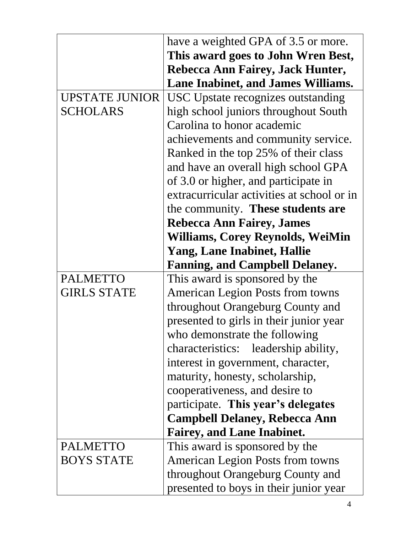|                       | have a weighted GPA of 3.5 or more.        |
|-----------------------|--------------------------------------------|
|                       | This award goes to John Wren Best,         |
|                       | Rebecca Ann Fairey, Jack Hunter,           |
|                       | <b>Lane Inabinet, and James Williams.</b>  |
| <b>UPSTATE JUNIOR</b> | USC Upstate recognizes outstanding         |
| <b>SCHOLARS</b>       | high school juniors throughout South       |
|                       | Carolina to honor academic                 |
|                       | achievements and community service.        |
|                       | Ranked in the top 25% of their class       |
|                       | and have an overall high school GPA        |
|                       | of 3.0 or higher, and participate in       |
|                       | extracurricular activities at school or in |
|                       | the community. These students are          |
|                       | <b>Rebecca Ann Fairey, James</b>           |
|                       | <b>Williams, Corey Reynolds, WeiMin</b>    |
|                       | <b>Yang, Lane Inabinet, Hallie</b>         |
|                       | <b>Fanning, and Campbell Delaney.</b>      |
| <b>PALMETTO</b>       | This award is sponsored by the             |
| <b>GIRLS STATE</b>    | American Legion Posts from towns           |
|                       | throughout Orangeburg County and           |
|                       | presented to girls in their junior year    |
|                       | who demonstrate the following              |
|                       | characteristics: leadership ability,       |
|                       | interest in government, character,         |
|                       |                                            |
|                       | maturity, honesty, scholarship,            |
|                       | cooperativeness, and desire to             |
|                       | participate. This year's delegates         |
|                       | <b>Campbell Delaney, Rebecca Ann</b>       |
|                       | <b>Fairey, and Lane Inabinet.</b>          |
| <b>PALMETTO</b>       | This award is sponsored by the             |
| <b>BOYS STATE</b>     | <b>American Legion Posts from towns</b>    |
|                       | throughout Orangeburg County and           |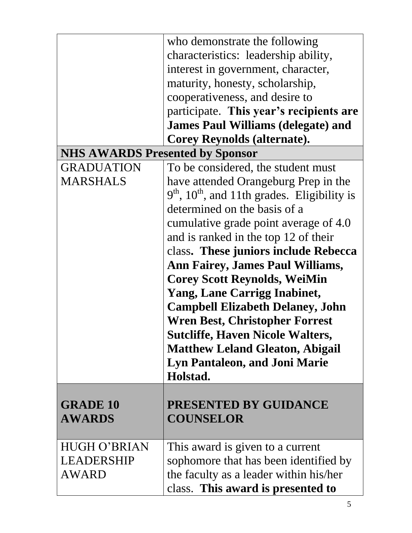|                                        | who demonstrate the following                              |
|----------------------------------------|------------------------------------------------------------|
|                                        | characteristics: leadership ability,                       |
|                                        | interest in government, character,                         |
|                                        | maturity, honesty, scholarship,                            |
|                                        | cooperativeness, and desire to                             |
|                                        | participate. This year's recipients are                    |
|                                        | <b>James Paul Williams (delegate) and</b>                  |
|                                        | <b>Corey Reynolds (alternate).</b>                         |
| <b>NHS AWARDS Presented by Sponsor</b> |                                                            |
| <b>GRADUATION</b>                      | To be considered, the student must                         |
| <b>MARSHALS</b>                        | have attended Orangeburg Prep in the                       |
|                                        | $9th$ , 10 <sup>th</sup> , and 11th grades. Eligibility is |
|                                        | determined on the basis of a                               |
|                                        | cumulative grade point average of 4.0                      |
|                                        | and is ranked in the top 12 of their                       |
|                                        | class. These juniors include Rebecca                       |
|                                        | <b>Ann Fairey, James Paul Williams,</b>                    |
|                                        | <b>Corey Scott Reynolds, WeiMin</b>                        |
|                                        | <b>Yang, Lane Carrigg Inabinet,</b>                        |
|                                        | <b>Campbell Elizabeth Delaney, John</b>                    |
|                                        | <b>Wren Best, Christopher Forrest</b>                      |
|                                        | <b>Sutcliffe, Haven Nicole Walters,</b>                    |
|                                        | <b>Matthew Leland Gleaton, Abigail</b>                     |
|                                        | <b>Lyn Pantaleon, and Joni Marie</b>                       |
|                                        | Holstad.                                                   |
|                                        |                                                            |
| <b>GRADE 10</b>                        | PRESENTED BY GUIDANCE                                      |
| <b>AWARDS</b>                          | <b>COUNSELOR</b>                                           |
|                                        |                                                            |
| <b>HUGH O'BRIAN</b>                    | This award is given to a current                           |
| LEADERSHIP                             | sophomore that has been identified by                      |
| AWARD                                  | the faculty as a leader within his/her                     |
|                                        | class. This award is presented to                          |
|                                        |                                                            |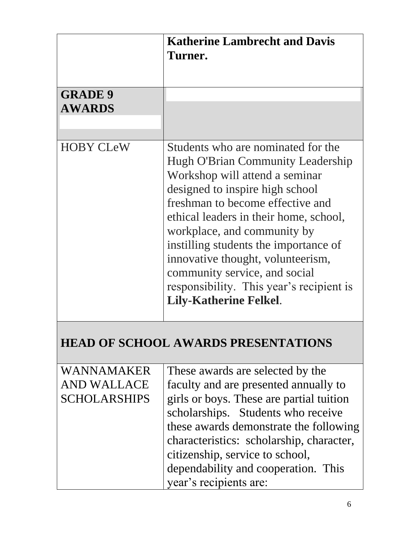|                                           | <b>Katherine Lambrecht and Davis</b><br>Turner.                                                                                                                                                                                                                                                                                                                                                                                                              |
|-------------------------------------------|--------------------------------------------------------------------------------------------------------------------------------------------------------------------------------------------------------------------------------------------------------------------------------------------------------------------------------------------------------------------------------------------------------------------------------------------------------------|
| <b>GRADE 9</b><br><b>AWARDS</b>           |                                                                                                                                                                                                                                                                                                                                                                                                                                                              |
| <b>HOBY CLeW</b>                          | Students who are nominated for the<br><b>Hugh O'Brian Community Leadership</b><br>Workshop will attend a seminar<br>designed to inspire high school<br>freshman to become effective and<br>ethical leaders in their home, school,<br>workplace, and community by<br>instilling students the importance of<br>innovative thought, volunteerism,<br>community service, and social<br>responsibility. This year's recipient is<br><b>Lily-Katherine Felkel.</b> |
|                                           | <b>HEAD OF SCHOOL AWARDS PRESENTATIONS</b>                                                                                                                                                                                                                                                                                                                                                                                                                   |
| WANNAMAKER<br>AND WALLACE<br>SCHOLARSHIPS | These awards are selected by the<br>faculty and are presented annually to<br>girls or boys. These are partial tuition<br>scholarships. Students who receive<br>these awards demonstrate the following<br>characteristics: scholarship, character,<br>citizenship, service to school,<br>dependability and cooperation. This<br>year's recipients are:                                                                                                        |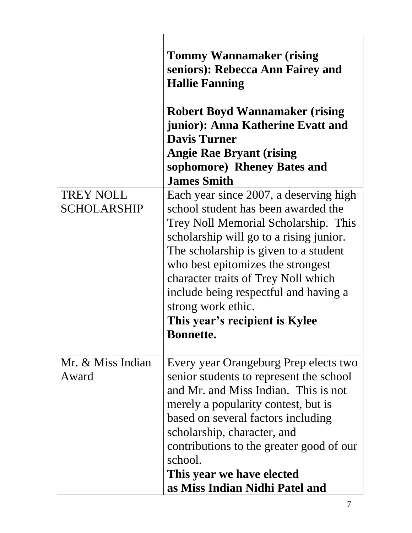|                    | <b>Tommy Wannamaker (rising</b><br>seniors): Rebecca Ann Fairey and<br><b>Hallie Fanning</b><br><b>Robert Boyd Wannamaker (rising)</b><br>junior): Anna Katherine Evatt and<br><b>Davis Turner</b><br><b>Angie Rae Bryant (rising</b><br>sophomore) Rheney Bates and<br><b>James Smith</b>                                                                      |
|--------------------|-----------------------------------------------------------------------------------------------------------------------------------------------------------------------------------------------------------------------------------------------------------------------------------------------------------------------------------------------------------------|
| <b>TREY NOLL</b>   | Each year since 2007, a deserving high                                                                                                                                                                                                                                                                                                                          |
| <b>SCHOLARSHIP</b> | school student has been awarded the<br>Trey Noll Memorial Scholarship. This<br>scholarship will go to a rising junior.<br>The scholarship is given to a student<br>who best epitomizes the strongest<br>character traits of Trey Noll which<br>include being respectful and having a<br>strong work ethic.<br>This year's recipient is Kylee<br><b>Bonnette</b> |
| Mr. & Miss Indian  | Every year Orangeburg Prep elects two                                                                                                                                                                                                                                                                                                                           |
| Award              | senior students to represent the school                                                                                                                                                                                                                                                                                                                         |
|                    | and Mr. and Miss Indian. This is not                                                                                                                                                                                                                                                                                                                            |
|                    | merely a popularity contest, but is<br>based on several factors including                                                                                                                                                                                                                                                                                       |
|                    | scholarship, character, and                                                                                                                                                                                                                                                                                                                                     |
|                    | contributions to the greater good of our                                                                                                                                                                                                                                                                                                                        |
|                    | school.                                                                                                                                                                                                                                                                                                                                                         |
|                    | This year we have elected                                                                                                                                                                                                                                                                                                                                       |
|                    | as Miss Indian Nidhi Patel and                                                                                                                                                                                                                                                                                                                                  |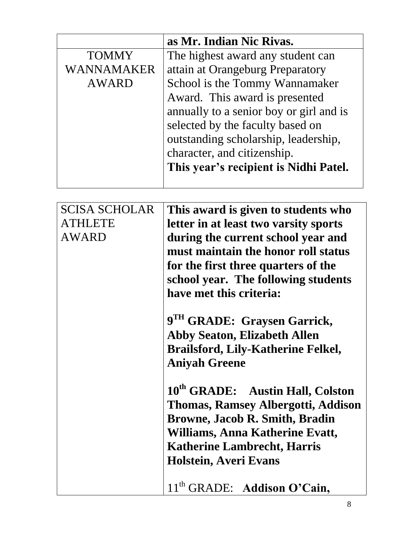|              | as Mr. Indian Nic Rivas.                |
|--------------|-----------------------------------------|
| <b>TOMMY</b> | The highest award any student can       |
| WANNAMAKER   | attain at Orangeburg Preparatory        |
| <b>AWARD</b> | School is the Tommy Wannamaker          |
|              | Award. This award is presented          |
|              | annually to a senior boy or girl and is |
|              | selected by the faculty based on        |
|              | outstanding scholarship, leadership,    |
|              | character, and citizenship.             |
|              | This year's recipient is Nidhi Patel.   |
|              |                                         |

| <b>SCISA SCHOLAR</b> | This award is given to students who          |
|----------------------|----------------------------------------------|
| <b>ATHLETE</b>       | letter in at least two varsity sports        |
| <b>AWARD</b>         | during the current school year and           |
|                      | must maintain the honor roll status          |
|                      | for the first three quarters of the          |
|                      | school year. The following students          |
|                      | have met this criteria:                      |
|                      | 9 <sup>TH</sup> GRADE: Graysen Garrick,      |
|                      | <b>Abby Seaton, Elizabeth Allen</b>          |
|                      | <b>Brailsford, Lily-Katherine Felkel,</b>    |
|                      | <b>Aniyah Greene</b>                         |
|                      | 10 <sup>th</sup> GRADE: Austin Hall, Colston |
|                      | <b>Thomas, Ramsey Albergotti, Addison</b>    |
|                      | <b>Browne, Jacob R. Smith, Bradin</b>        |
|                      | Williams, Anna Katherine Evatt,              |
|                      | <b>Katherine Lambrecht, Harris</b>           |
|                      | Holstein, Averi Evans                        |
|                      |                                              |
|                      | 11 <sup>th</sup> GRADE: Addison O'Cain,      |